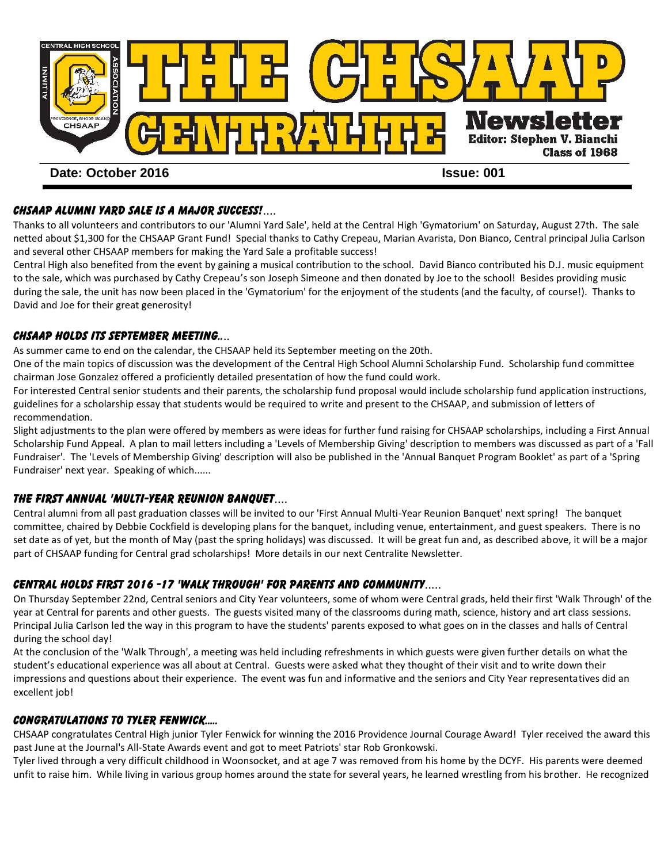

# CHSAAP ALUMNI YARD SALE IS A MAJOR SUCCESS!....

Thanks to all volunteers and contributors to our 'Alumni Yard Sale', held at the Central High 'Gymatorium' on Saturday, August 27th. The sale netted about \$1,300 for the CHSAAP Grant Fund! Special thanks to Cathy Crepeau, Marian Avarista, Don Bianco, Central principal Julia Carlson and several other CHSAAP members for making the Yard Sale a profitable success!

Central High also benefited from the event by gaining a musical contribution to the school. David Bianco contributed his D.J. music equipment to the sale, which was purchased by Cathy Crepeau's son Joseph Simeone and then donated by Joe to the school! Besides providing music during the sale, the unit has now been placed in the 'Gymatorium' for the enjoyment of the students (and the faculty, of course!). Thanks to David and Joe for their great generosity!

#### CHSAAP HOLDS its SEPTEMBER MEETING....

As summer came to end on the calendar, the CHSAAP held its September meeting on the 20th.

One of the main topics of discussion was the development of the Central High School Alumni Scholarship Fund. Scholarship fund committee chairman Jose Gonzalez offered a proficiently detailed presentation of how the fund could work.

For interested Central senior students and their parents, the scholarship fund proposal would include scholarship fund application instructions, guidelines for a scholarship essay that students would be required to write and present to the CHSAAP, and submission of letters of recommendation.

Slight adjustments to the plan were offered by members as were ideas for further fund raising for CHSAAP scholarships, including a First Annual Scholarship Fund Appeal. A plan to mail letters including a 'Levels of Membership Giving' description to members was discussed as part of a 'Fall Fundraiser'. The 'Levels of Membership Giving' description will also be published in the 'Annual Banquet Program Booklet' as part of a 'Spring Fundraiser' next year. Speaking of which......

## THE FIRST ANNUAL 'MULTI-YEAR REUNION BANQUET....

Central alumni from all past graduation classes will be invited to our 'First Annual Multi-Year Reunion Banquet' next spring! The banquet committee, chaired by Debbie Cockfield is developing plans for the banquet, including venue, entertainment, and guest speakers. There is no set date as of yet, but the month of May (past the spring holidays) was discussed. It will be great fun and, as described above, it will be a major part of CHSAAP funding for Central grad scholarships! More details in our next Centralite Newsletter.

## CENTRAL HOLDS FIRST 2016 -17 'WALK THROUGH' FOR PARENTS and community.....

On Thursday September 22nd, Central seniors and City Year volunteers, some of whom were Central grads, held their first 'Walk Through' of the year at Central for parents and other guests. The guests visited many of the classrooms during math, science, history and art class sessions. Principal Julia Carlson led the way in this program to have the students' parents exposed to what goes on in the classes and halls of Central during the school day!

At the conclusion of the 'Walk Through', a meeting was held including refreshments in which guests were given further details on what the student's educational experience was all about at Central. Guests were asked what they thought of their visit and to write down their impressions and questions about their experience. The event was fun and informative and the seniors and City Year representatives did an excellent job!

## CONGRATULATIONS TO TYLER FENWICK.....

CHSAAP congratulates Central High junior Tyler Fenwick for winning the 2016 Providence Journal Courage Award! Tyler received the award this past June at the Journal's All-State Awards event and got to meet Patriots' star Rob Gronkowski.

Tyler lived through a very difficult childhood in Woonsocket, and at age 7 was removed from his home by the DCYF. His parents were deemed unfit to raise him. While living in various group homes around the state for several years, he learned wrestling from his brother. He recognized